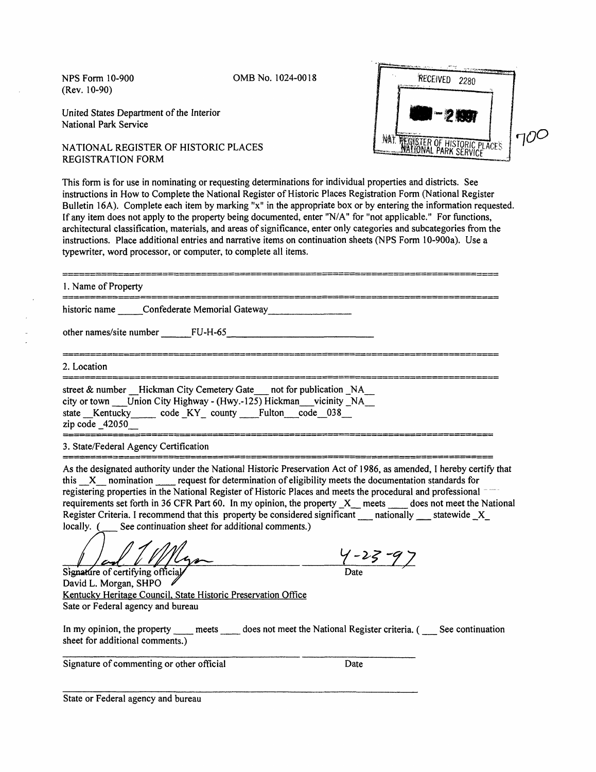(Rev. 10-90)

NFS Form 10-900 OMBNo. 1024-0018

United States Department of the Interior National Park Service

NATIONAL REGISTER OF HISTORIC PLACES REGISTRATION FORM



This form is for use in nominating or requesting determinations for individual properties and districts. See instructions in How to Complete the National Register of Historic Places Registration Form (National Register Bulletin 16A). Complete each item by marking "x" in the appropriate box or by entering the information requested. If any item does not apply to the property being documented, enter "N/A" for "not applicable." For functions, architectural classification, materials, and areas of significance, enter only categories and subcategories from the instructions. Place additional entries and narrative items on continuation sheets (NPS Form 10-900a). Use a typewriter, word processor, or computer, to complete all items.

| 1. Name of Property                                                                                                                                                                                        |
|------------------------------------------------------------------------------------------------------------------------------------------------------------------------------------------------------------|
| historic name Confederate Memorial Gateway                                                                                                                                                                 |
| other names/site number FU-H-65                                                                                                                                                                            |
| 2. Location                                                                                                                                                                                                |
| street & number Hickman City Cemetery Gate not for publication NA<br>city or town Union City Highway - (Hwy.-125) Hickman vicinity NA<br>state Kentucky code KY county Fulton code 038<br>zip code $42050$ |

## 3. State/Federal Agency Certification

As the designated authority under the National Historic Preservation Act of 1986, as amended, I hereby certify that this \_X nomination \_\_ request for determination of eligibility meets the documentation standards for registering properties in the National Register of Historic Places and meets the procedural and professional requirements set forth in 36 CFR Part 60. In my opinion, the property \_X\_\_ meets \_\_ does not meet the National Register Criteria. I recommend that this property be considered significant \_\_\_ nationally \_\_\_ statewide \_X\_ locally. (See continuation sheet for additional comments.) See continuation sheet for additional comments.)

 $\frac{1}{\text{Signature of certifying official}}$   $\frac{1}{\text{Date}}$ 

David L. Morgan, SHPO Kentucky Heritage Council. State Historic Preservation Office Sate or Federal agency and bureau

In my opinion, the property \_\_\_\_ meets \_\_\_\_ does not meet the National Register criteria. ( \_\_\_ See continuation sheet for additional comments.)

Signature of commenting or other official Date

State or Federal agency and bureau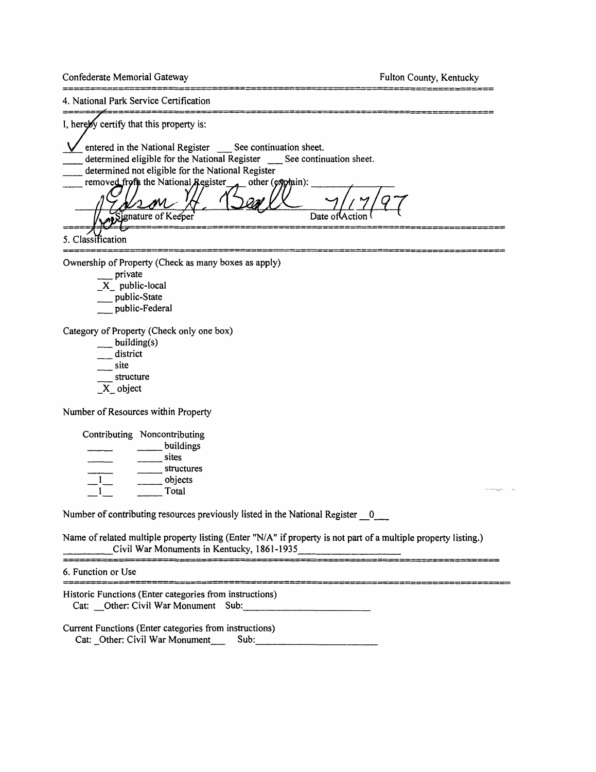Confederate Memorial Gateway **Fulton County, Kentucky** Fulton County, Kentucky

 $= 2 2 2 2 3 4 2 2 2 3 2 3 3$ 

===============

4. National Park Service Certification

| I, hereby certify that this property is:                                                                                                                                                                                                                  |
|-----------------------------------------------------------------------------------------------------------------------------------------------------------------------------------------------------------------------------------------------------------|
| entered in the National Register See continuation sheet.<br>determined eligible for the National Register See continuation sheet.<br>determined not eligible for the National Register<br>removed from the National Register<br>other (explain):<br>(7/2) |
| <b>Applicature of Keeper</b><br>Date of Action                                                                                                                                                                                                            |
| 5. Classification                                                                                                                                                                                                                                         |
| Ownership of Property (Check as many boxes as apply)                                                                                                                                                                                                      |

\_\_ private

- $X$  public-local
- \_\_ public-State
- \_\_ public-Federal

Category of Property (Check only one box)

- \_\_ building(s)
- $\frac{1}{\sqrt{2}}$  district
- $\equiv$ site
- \_\_ structure
- \_X\_ object

Number of Resources within Property

| Contributing Noncontributing |
|------------------------------|
| buildings                    |
| sites                        |
| structures                   |
| objects                      |
| Total                        |
|                              |

Number of contributing resources previously listed in the National Register 0

Name of related multiple property listing (Enter "N/A" if property is not part of a multiple property listing.)  $\_$ Civil War Monuments in Kentucky, 1861-1935 $\_$ 

20 STEERS STEET SE SAAR WESTERS OOK DE SOFT SE SEE SEE SAAR

6. Function or Use

Historic Functions (Enter categories from instructions) Cat: Other: Civil War Monument Sub:

Current Functions (Enter categories from instructions) Cat: Other: Civil War Monument Sub: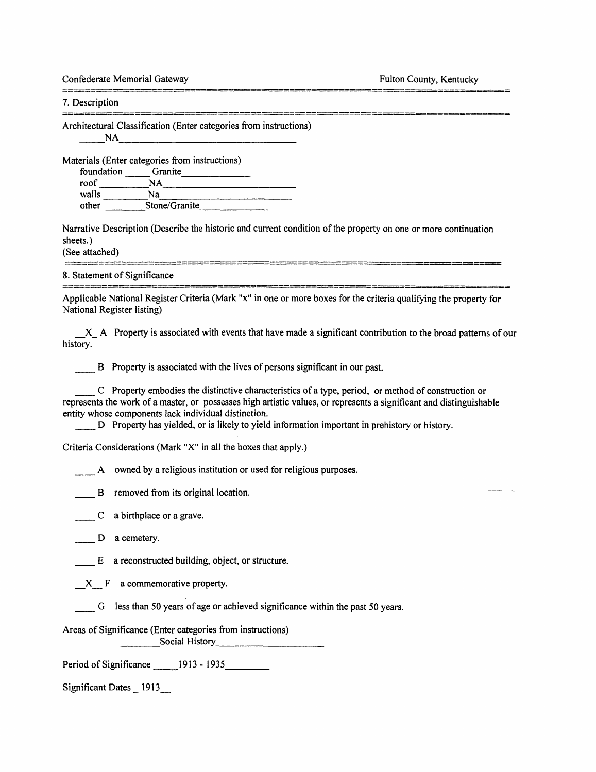Confederate Memorial Gateway **Fulton County, Kentucky** Fulton County, Kentucky 

7. Description

Architectural Classification (Enter categories from instructions) \_\_\_NA*\_\_\_\_\_\_\_\_\_\_\_\_\_\_\_\_\_\_\_\_\_\_\_\_*

Materials (Enter categories from instructions)

foundation Granite roof MA walls Na other Stone/Granite

Narrative Description (Describe the historic and current condition of the property on one or more continuation sheets.)

(See attached)

8. Statement of Significance

Applicable National Register Criteria (Mark "x" in one or more boxes for the criteria qualifying the property for National Register listing)

▖▅▆▅<del>▗</del>▅▗▄▄▄▄▄▄▄▄▄▄▄▄▄▄▄▄▄▄▄▄▄▄▄▄▄▄▄▄▄▄▄

 $X_A$  A Property is associated with events that have made a significant contribution to the broad patterns of our history.

B Property is associated with the lives of persons significant in our past.

\_\_ C Property embodies the distinctive characteristics of a type, period, or method of construction or represents the work of a master, or possesses high artistic values, or represents a significant and distinguishable entity whose components lack individual distinction.

\_\_ D Property has yielded, or is likely to yield information important in prehistory or history.

Criteria Considerations (Mark "X" in all the boxes that apply.)

A owned by a religious institution or used for religious purposes.

B removed from its original location.

 $C$  a birthplace or a grave.

D a cemetery.

E a reconstructed building, object, or structure.

X F a commemorative property.

G less than 50 years of age or achieved significance within the past 50 years.

Areas of Significance (Enter categories from instructions) \_\_\_\_\_Social History\_\_\_\_\_\_\_\_\_\_\_\_\_\_

Period of Significance \_\_\_\_\_\_ 1913 - 1935\_\_\_\_\_\_\_\_\_\_

Significant Dates \_ 1913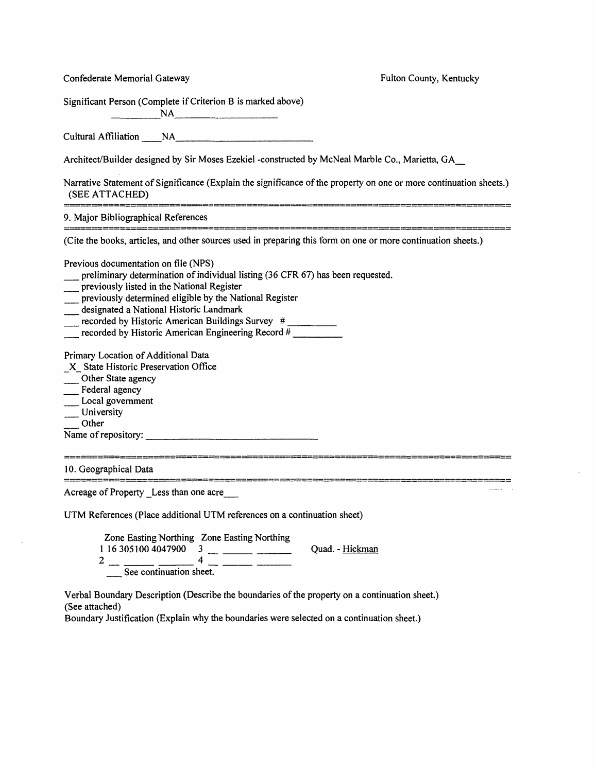| Confederate Memorial Gateway                                                                                                                                                                                                                                                                                                                                                          | Fulton County, Kentucky |
|---------------------------------------------------------------------------------------------------------------------------------------------------------------------------------------------------------------------------------------------------------------------------------------------------------------------------------------------------------------------------------------|-------------------------|
| Significant Person (Complete if Criterion B is marked above)<br>NA                                                                                                                                                                                                                                                                                                                    |                         |
| Cultural Affiliation NA                                                                                                                                                                                                                                                                                                                                                               |                         |
| Architect/Builder designed by Sir Moses Ezekiel -constructed by McNeal Marble Co., Marietta, GA                                                                                                                                                                                                                                                                                       |                         |
| Narrative Statement of Significance (Explain the significance of the property on one or more continuation sheets.)<br>(SEE ATTACHED)                                                                                                                                                                                                                                                  |                         |
| 9. Major Bibliographical References                                                                                                                                                                                                                                                                                                                                                   |                         |
| (Cite the books, articles, and other sources used in preparing this form on one or more continuation sheets.)                                                                                                                                                                                                                                                                         |                         |
| Previous documentation on file (NPS)<br>preliminary determination of individual listing (36 CFR 67) has been requested.<br>previously listed in the National Register<br>previously determined eligible by the National Register<br>designated a National Historic Landmark<br>recorded by Historic American Buildings Survey #<br>recorded by Historic American Engineering Record # |                         |
| Primary Location of Additional Data<br>X State Historic Preservation Office<br>Other State agency<br>Federal agency<br>Local government<br>University<br>Other<br>Name of repository:                                                                                                                                                                                                 |                         |
| 10. Geographical Data                                                                                                                                                                                                                                                                                                                                                                 |                         |
| Acreage of Property Less than one acre                                                                                                                                                                                                                                                                                                                                                |                         |
| UTM References (Place additional UTM references on a continuation sheet)                                                                                                                                                                                                                                                                                                              |                         |
| Zone Easting Northing Zone Easting Northing<br>1 16 305100 4047900<br>3<br>$\overline{\mathbf{4}}$<br>$\overline{c}$<br>$\frac{4}{\sqrt{10}} \frac{4}{\sqrt{10}}$<br>$\overbrace{\qquad \qquad }$                                                                                                                                                                                     | Quad. - Hickman         |

 $\bar{z}$ 

Verbal Boundary Description (Describe the boundaries of the property on a continuation sheet.) (See attached)

Boundary Justification (Explain why the boundaries were selected on a continuation sheet.)

 $\bar{z}$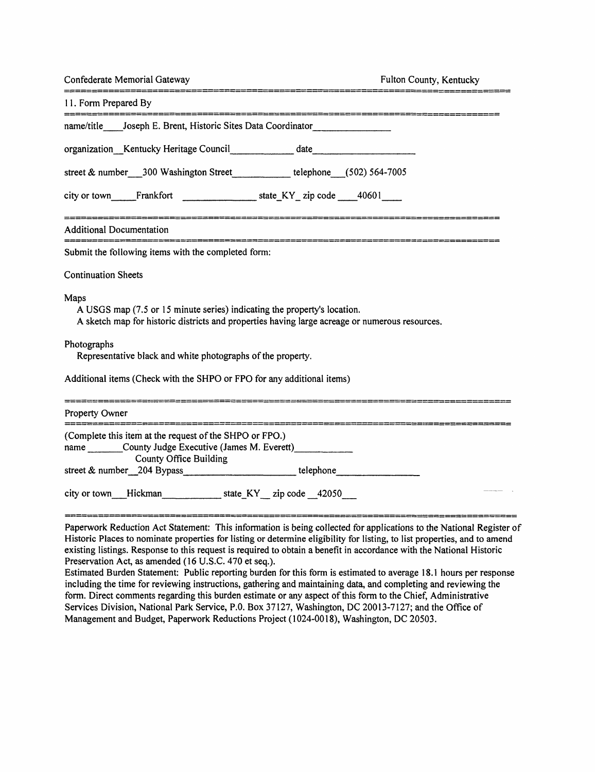| Confederate Memorial Gateway                                                                                                                                                                                                                     | Fulton County, Kentucky |
|--------------------------------------------------------------------------------------------------------------------------------------------------------------------------------------------------------------------------------------------------|-------------------------|
| 11. Form Prepared By                                                                                                                                                                                                                             |                         |
| .<br>The first same that with sime and same card with their auto the same card with and same first with the same<br>name/title ____ Joseph E. Brent, Historic Sites Data Coordinator________________                                             |                         |
| organization Kentucky Heritage Council date date                                                                                                                                                                                                 |                         |
| street & number___300 Washington Street___________telephone__(502) 564-7005                                                                                                                                                                      |                         |
|                                                                                                                                                                                                                                                  |                         |
| Additional Documentation                                                                                                                                                                                                                         |                         |
| Submit the following items with the completed form:                                                                                                                                                                                              |                         |
| <b>Continuation Sheets</b>                                                                                                                                                                                                                       |                         |
| Maps<br>A USGS map (7.5 or 15 minute series) indicating the property's location.<br>A sketch map for historic districts and properties having large acreage or numerous resources.                                                               |                         |
| Photographs<br>Representative black and white photographs of the property.                                                                                                                                                                       |                         |
| Additional items (Check with the SHPO or FPO for any additional items)                                                                                                                                                                           |                         |
| Property Owner                                                                                                                                                                                                                                   |                         |
| (Complete this item at the request of the SHPO or FPO.)<br>name County Judge Executive (James M. Everett)<br>County Office Building                                                                                                              |                         |
|                                                                                                                                                                                                                                                  |                         |
| Paperwork Reduction Act Statement: This information is being collected for applications to the National Register of<br>Historic Places to nominate properties for listing or determine eligibility for listing, to list properties, and to amend |                         |

existing listings. Response to this request is required to obtain a benefit in accordance with the National Historic Preservation Act, as amended (16 U.S.C. 470 et seq.).

Estimated Burden Statement: Public reporting burden for this form is estimated to average 18.1 hours per response including the time for reviewing instructions, gathering and maintaining data, and completing and reviewing the form. Direct comments regarding this burden estimate or any aspect of this form to the Chief, Administrative Services Division, National Park Service, P.O. Box 37127, Washington, DC 20013-7127; and the Office of Management and Budget, Paperwork Reductions Project (1024-0018), Washington, DC 20503.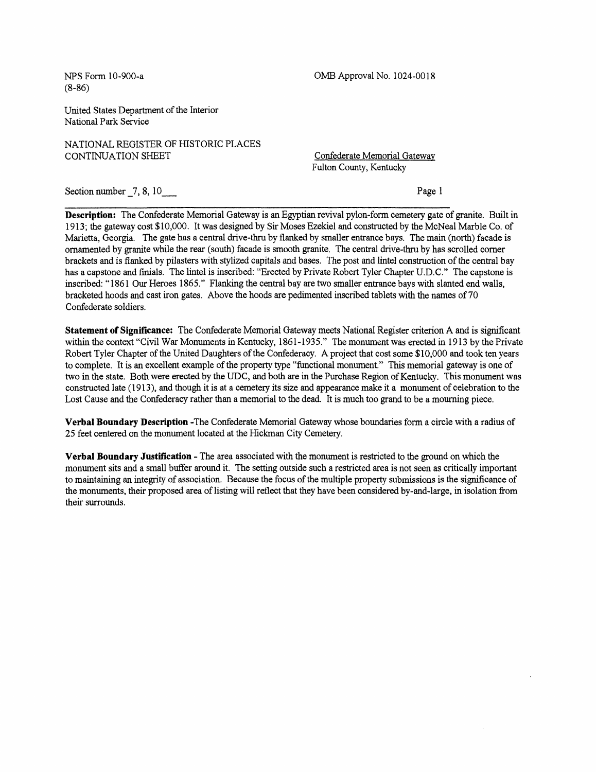(8-86)

NFS Form 10-900-a OMB Approval No. 1024-0018

United States Department of the Interior National Park Service

NATIONAL REGISTER OF HISTORIC PLACES CONTINUATION SHEET CONTINUATION SHEET

Fulton County, Kentucky

Section number  $\begin{array}{c} 7, 8, 10 \end{array}$  Page 1

**Description:** The Confederate Memorial Gateway is an Egyptian revival pylon-form cemetery gate of granite. Built in 1913; the gateway cost \$ 10,000. It was designed by Sir Moses Ezekiel and constructed by the McNeal Marble Co. of Marietta, Georgia. The gate has a central drive-thru by flanked by smaller entrance bays. The main (north) facade is ornamented by granite while the rear (south) facade is smooth granite. The central drive-thru by has scrolled comer brackets and is flanked by pilasters with stylized capitals and bases. The post and lintel construction of the central bay has a capstone and finials. The lintel is inscribed: "Erected by Private Robert Tyler Chapter U.D.C." The capstone is inscribed: " 1861 Our Heroes 1865." Flanking the central bay are two smaller entrance bays with slanted end walls, bracketed hoods and cast iron gates. Above the hoods are pedimented inscribed tablets with the names of 70 Confederate soldiers.

**Statement of Significance:** The Confederate Memorial Gateway meets National Register criterion A and is significant within the context "Civil War Monuments in Kentucky, 1861-1935." The monument was erected in 1913 by the Private Robert Tyler Chapter of the United Daughters of the Confederacy. A project that cost some \$10,000 and took ten years to complete. It is an excellent example of the property type "functional monument." This memorial gateway is one of two in the state. Both were erected by the UDC, and both are in the Purchase Region of Kentucky. This monument was constructed late (1913), and though it is at a cemetery its size and appearance make it a monument of celebration to the Lost Cause and the Confederacy rather than a memorial to the dead. It is much too grand to be a mourning piece.

**Verbal Boundary Description** -The Confederate Memorial Gateway whose boundaries form a circle with a radius of 25 feet centered on the monument located at the Hickman City Cemetery.

**Verbal Boundary Justification** - The area associated with the monument is restricted to the ground on which the monument sits and a small buffer around it. The setting outside such a restricted area is not seen as critically important to maintaining an integrity of association. Because the focus of the multiple property submissions is the significance of the monuments, their proposed area of listing will reflect that they have been considered by-and-large, in isolation from their surrounds.